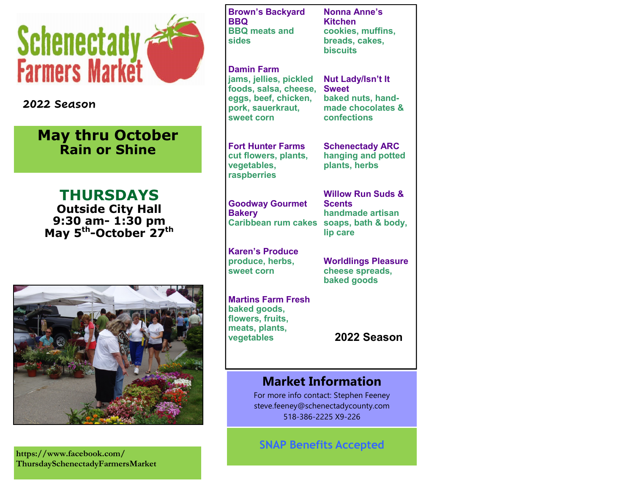

#### **2022 Season**

# **May thru October Rain or Shine**

**THURSDAYS Outside City Hall 9:30 am- 1:30 pm May 5th -October 27th**



**https://www.facebook.com/ ThursdaySchenectadyFarmersMarket** **Brown's Backyard BBQ BBQ meats and sides**

**Damin Farm jams, jellies, pickled foods, salsa, cheese, eggs, beef, chicken, pork, sauerkraut, sweet corn**

**Fort Hunter Farms cut flowers, plants, vegetables, raspberries**

**Goodway Gourmet Bakery Caribbean rum cakes soaps, bath & body,** 

**Karen's Produce produce, herbs, sweet corn**

**Martins Farm Fresh baked goods, flowers, fruits, meats, plants, vegetables**

**Nonna Anne's Kitchen cookies, muffins, breads, cakes, biscuits**

**Nut Lady/Isn't It Sweet baked nuts, handmade chocolates & confections**

**Schenectady ARC hanging and potted plants, herbs**

**Willow Run Suds & Scents handmade artisan lip care**

**Worldlings Pleasure cheese spreads, baked goods**

**2022 Season**

### **Market Information**

For more info contact: Stephen Feeney steve.feeney@schenectadycounty.com 518-386-2225 X9-226

**SNAP Benefits Accepted**